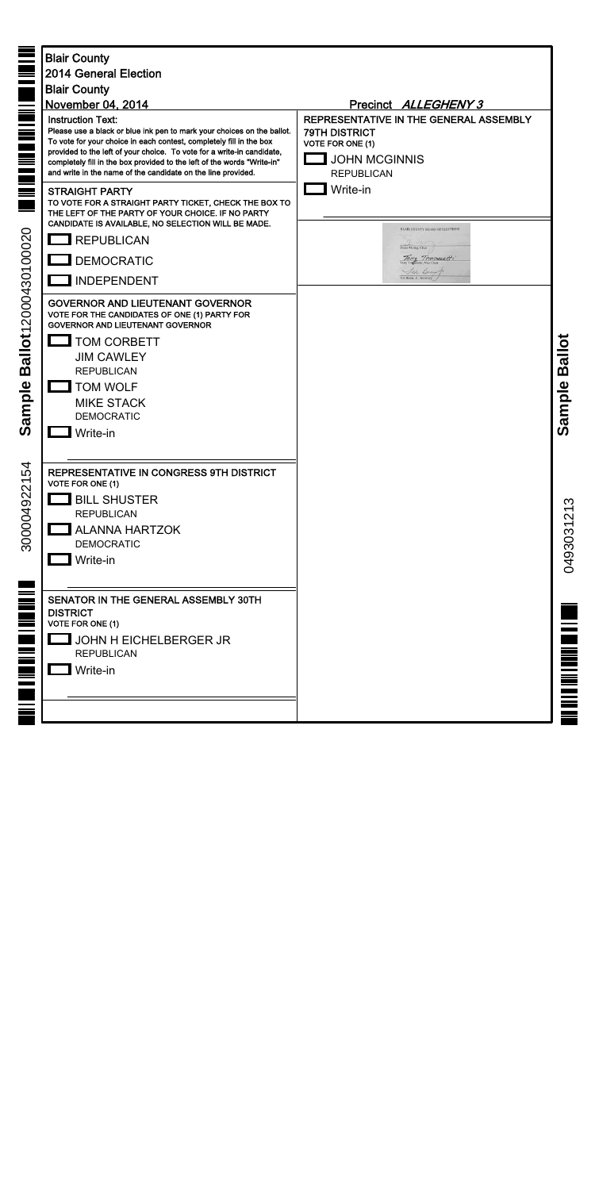|                                                                                | <b>Blair County</b><br><b>2014 General Election</b><br><b>Blair County</b><br>November 04, 2014                                                                                                                                                                                                                                                                                                | Precinct ALLEGHENY 3                                                                                                                   |                |
|--------------------------------------------------------------------------------|------------------------------------------------------------------------------------------------------------------------------------------------------------------------------------------------------------------------------------------------------------------------------------------------------------------------------------------------------------------------------------------------|----------------------------------------------------------------------------------------------------------------------------------------|----------------|
| <b>MET WE BE ALL AND THE SE</b>                                                | <b>Instruction Text:</b><br>Please use a black or blue ink pen to mark your choices on the ballot.<br>To vote for your choice in each contest, completely fill in the box<br>provided to the left of your choice. To vote for a write-in candidate,<br>completely fill in the box provided to the left of the words "Write-in"<br>and write in the name of the candidate on the line provided. | REPRESENTATIVE IN THE GENERAL ASSEMBLY<br><b>79TH DISTRICT</b><br><b>VOTE FOR ONE (1)</b><br><b>JOHN MCGINNIS</b><br><b>REPUBLICAN</b> |                |
| $\equiv$<br>$\equiv$<br>allot12000430100020<br>$\boldsymbol{\omega}$<br>sample | <b>STRAIGHT PARTY</b><br>TO VOTE FOR A STRAIGHT PARTY TICKET, CHECK THE BOX TO<br>THE LEFT OF THE PARTY OF YOUR CHOICE. IF NO PARTY<br>CANDIDATE IS AVAILABLE, NO SELECTION WILL BE MADE.<br>$\Box$ REPUBLICAN                                                                                                                                                                                 | Write-in<br>BLAIR COUNTY BOARD OF ELECTIONS<br>Diane Meling, Chair.<br>Terry Tomoresetti<br>Sed Denis<br>Ted Beam, Jr., Secretary      |                |
|                                                                                | <b>DEMOCRATIC</b><br><b>INDEPENDENT</b>                                                                                                                                                                                                                                                                                                                                                        |                                                                                                                                        |                |
|                                                                                | <b>GOVERNOR AND LIEUTENANT GOVERNOR</b><br>VOTE FOR THE CANDIDATES OF ONE (1) PARTY FOR<br><b>GOVERNOR AND LIEUTENANT GOVERNOR</b><br><b>TOM CORBETT</b><br><b>JIM CAWLEY</b><br><b>REPUBLICAN</b><br><b>TOM WOLF</b><br><b>MIKE STACK</b>                                                                                                                                                     |                                                                                                                                        | Ballot         |
| <b>VÕ</b>                                                                      | <b>DEMOCRATIC</b><br>Write-in                                                                                                                                                                                                                                                                                                                                                                  |                                                                                                                                        | Sample         |
| 54<br>300004922                                                                | REPRESENTATIVE IN CONGRESS 9TH DISTRICT<br><b>VOTE FOR ONE (1)</b><br><b>BILL SHUSTER</b><br><b>REPUBLICAN</b><br><b>ALANNA HARTZOK</b><br><b>DEMOCRATIC</b><br>Write-in                                                                                                                                                                                                                       |                                                                                                                                        | S<br>049303121 |
| <b>THE LINE RIGHT WAY AND AND AND RELEASE</b>                                  | SENATOR IN THE GENERAL ASSEMBLY 30TH<br><b>DISTRICT</b><br>VOTE FOR ONE (1)<br>JOHN H EICHELBERGER JR<br><b>REPUBLICAN</b><br>Write-in                                                                                                                                                                                                                                                         |                                                                                                                                        |                |